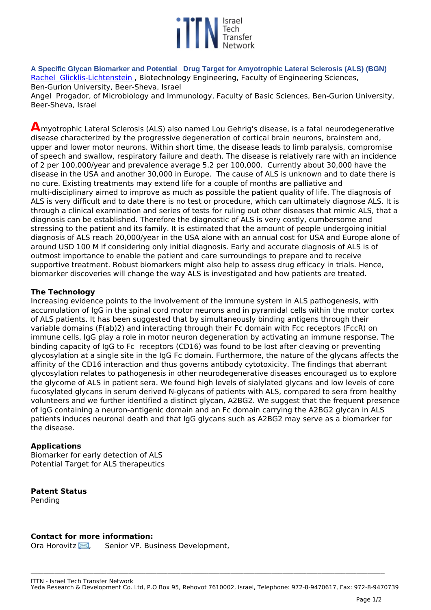

**A Specific Glycan Biomarker and Potential Drug Target for Amyotrophic Lateral Sclerosis (ALS) (BGN)**  *[Rachel Glicklis-Lichtenstein ,](http://profiler.bgu.ac.il/frontoffice/ShowUser.aspx?id=2763&name=Glicklis-Lichtenstein%20Rachel) Biotechnology Engineering, Faculty of Engineering Sciences, Ben-Gurion University, Beer-Sheva, Israel*

*Angel Progador, of Microbiology and Immunology, Faculty of Basic Sciences, Ben-Gurion University, Beer-Sheva, Israel*

**A***myotrophic Lateral Sclerosis (ALS) also named Lou Gehrig's disease, is a fatal neurodegenerative disease characterized by the progressive degeneration of cortical brain neurons, brainstem and, upper and lower motor neurons. Within short time, the disease leads to limb paralysis, compromise of speech and swallow, respiratory failure and death. The disease is relatively rare with an incidence of 2 per 100,000/year and prevalence average 5.2 per 100,000. Currently about 30,000 have the disease in the USA and another 30,000 in Europe. The cause of ALS is unknown and to date there is no cure. Existing treatments may extend life for a couple of months are palliative and multi-disciplinary aimed to improve as much as possible the patient quality of life. The diagnosis of ALS is very difficult and to date there is no test or procedure, which can ultimately diagnose ALS. It is through a clinical examination and series of tests for ruling out other diseases that mimic ALS, that a diagnosis can be established. Therefore the diagnostic of ALS is very costly, cumbersome and stressing to the patient and its family. It is estimated that the amount of people undergoing initial diagnosis of ALS reach 20,000/year in the USA alone with an annual cost for USA and Europe alone of around USD 100 M if considering only initial diagnosis. Early and accurate diagnosis of ALS is of outmost importance to enable the patient and care surroundings to prepare and to receive supportive treatment. Robust biomarkers might also help to assess drug efficacy in trials. Hence, biomarker discoveries will change the way ALS is investigated and how patients are treated.* 

## **The Technology**

*Increasing evidence points to the involvement of the immune system in ALS pathogenesis, with accumulation of IgG in the spinal cord motor neurons and in pyramidal cells within the motor cortex of ALS patients. It has been suggested that by simultaneously binding antigens through their variable domains (F(ab)2) and interacting through their Fc domain with Fcc receptors (FccR) on immune cells, IgG play a role in motor neuron degeneration by activating an immune response. The binding capacity of IgG to Fc receptors (CD16) was found to be lost after cleaving or preventing glycosylation at a single site in the IgG Fc domain. Furthermore, the nature of the glycans affects the affinity of the CD16 interaction and thus governs antibody cytotoxicity. The findings that aberrant glycosylation relates to pathogenesis in other neurodegenerative diseases encouraged us to explore the glycome of ALS in patient sera. We found high levels of sialylated glycans and low levels of core fucosylated glycans in serum derived N-glycans of patients with ALS, compared to sera from healthy volunteers and we further identified a distinct glycan, A2BG2. We suggest that the frequent presence of IgG containing a neuron-antigenic domain and an Fc domain carrying the A2BG2 glycan in ALS patients induces neuronal death and that IgG glycans such as A2BG2 may serve as a biomarker for the disease.*

## **Applications**

*Biomarker for early detection of ALS Potential Target for ALS therapeutics*

## **Patent Status**

*Pending*

## **Contact for more information:**

*Ora Horovitz [,](http://www.ittn.org.il/technology.php?tech_id=65201&act=contact_page) Senior VP. Business Development,* 

**\_\_\_\_\_\_\_\_\_\_\_\_\_\_\_\_\_\_\_\_\_\_\_\_\_\_\_\_\_\_\_\_\_\_\_\_\_\_\_\_\_\_\_\_\_\_\_\_\_\_\_\_\_\_\_\_\_\_\_\_\_\_\_\_\_\_\_\_\_\_\_\_\_\_\_\_\_\_\_\_\_\_\_\_\_\_\_\_\_\_\_\_\_\_\_\_\_\_\_\_\_\_\_\_\_\_\_\_\_\_\_\_\_\_\_\_\_\_\_\_\_\_\_\_\_\_\_\_\_\_\_\_\_\_\_\_\_\_\_\_\_\_\_\_\_\_\_\_\_\_\_\_\_\_\_\_\_\_\_\_\_\_\_**